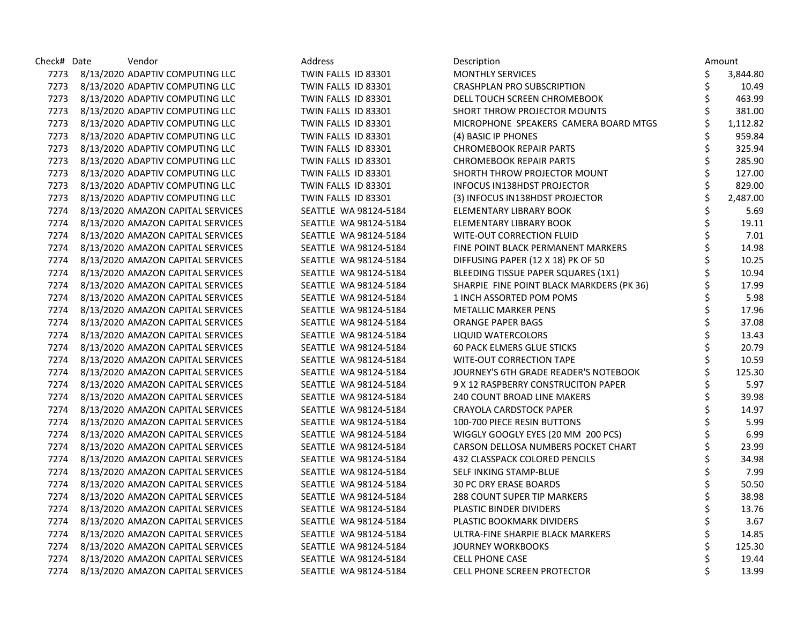| Check# Date | Vendor                                 | Address               | Description                               |                                 | Amount   |
|-------------|----------------------------------------|-----------------------|-------------------------------------------|---------------------------------|----------|
|             | 7273 8/13/2020 ADAPTIV COMPUTING LLC   | TWIN FALLS ID 83301   | <b>MONTHLY SERVICES</b>                   | \$                              | 3,844.80 |
|             | 7273 8/13/2020 ADAPTIV COMPUTING LLC   | TWIN FALLS ID 83301   | <b>CRASHPLAN PRO SUBSCRIPTION</b>         | \$                              | 10.49    |
|             | 7273 8/13/2020 ADAPTIV COMPUTING LLC   | TWIN FALLS ID 83301   | DELL TOUCH SCREEN CHROMEBOOK              | \$                              | 463.99   |
|             | 7273 8/13/2020 ADAPTIV COMPUTING LLC   | TWIN FALLS ID 83301   | SHORT THROW PROJECTOR MOUNTS              | \$                              | 381.00   |
|             | 7273 8/13/2020 ADAPTIV COMPUTING LLC   | TWIN FALLS ID 83301   | MICROPHONE SPEAKERS CAMERA BOARD MTGS     |                                 | 1,112.82 |
|             | 7273 8/13/2020 ADAPTIV COMPUTING LLC   | TWIN FALLS ID 83301   | (4) BASIC IP PHONES                       | \$                              | 959.84   |
|             | 7273 8/13/2020 ADAPTIV COMPUTING LLC   | TWIN FALLS ID 83301   | <b>CHROMEBOOK REPAIR PARTS</b>            | \$                              | 325.94   |
|             | 7273 8/13/2020 ADAPTIV COMPUTING LLC   | TWIN FALLS ID 83301   | <b>CHROMEBOOK REPAIR PARTS</b>            | \$                              | 285.90   |
|             | 7273 8/13/2020 ADAPTIV COMPUTING LLC   | TWIN FALLS ID 83301   | SHORTH THROW PROJECTOR MOUNT              | \$                              | 127.00   |
|             | 7273 8/13/2020 ADAPTIV COMPUTING LLC   | TWIN FALLS ID 83301   | INFOCUS IN138HDST PROJECTOR               | \$                              | 829.00   |
|             | 7273 8/13/2020 ADAPTIV COMPUTING LLC   | TWIN FALLS ID 83301   | (3) INFOCUS IN138HDST PROJECTOR           | \$                              | 2,487.00 |
|             | 7274 8/13/2020 AMAZON CAPITAL SERVICES | SEATTLE WA 98124-5184 | ELEMENTARY LIBRARY BOOK                   | \$                              | 5.69     |
| 7274        | 8/13/2020 AMAZON CAPITAL SERVICES      | SEATTLE WA 98124-5184 | ELEMENTARY LIBRARY BOOK                   | \$                              | 19.11    |
|             | 7274 8/13/2020 AMAZON CAPITAL SERVICES | SEATTLE WA 98124-5184 | WITE-OUT CORRECTION FLUID                 | \$                              | 7.01     |
| 7274        | 8/13/2020 AMAZON CAPITAL SERVICES      | SEATTLE WA 98124-5184 | FINE POINT BLACK PERMANENT MARKERS        | \$                              | 14.98    |
|             | 7274 8/13/2020 AMAZON CAPITAL SERVICES | SEATTLE WA 98124-5184 | DIFFUSING PAPER (12 X 18) PK OF 50        | \$                              | 10.25    |
|             | 7274 8/13/2020 AMAZON CAPITAL SERVICES | SEATTLE WA 98124-5184 | BLEEDING TISSUE PAPER SQUARES (1X1)       | \$                              | 10.94    |
|             | 7274 8/13/2020 AMAZON CAPITAL SERVICES | SEATTLE WA 98124-5184 | SHARPIE FINE POINT BLACK MARKDERS (PK 36) | \$                              | 17.99    |
|             | 7274 8/13/2020 AMAZON CAPITAL SERVICES | SEATTLE WA 98124-5184 | 1 INCH ASSORTED POM POMS                  | \$                              | 5.98     |
|             | 7274 8/13/2020 AMAZON CAPITAL SERVICES | SEATTLE WA 98124-5184 | <b>METALLIC MARKER PENS</b>               | $\overline{\boldsymbol{\zeta}}$ | 17.96    |
|             | 7274 8/13/2020 AMAZON CAPITAL SERVICES | SEATTLE WA 98124-5184 | <b>ORANGE PAPER BAGS</b>                  | \$                              | 37.08    |
| 7274        | 8/13/2020 AMAZON CAPITAL SERVICES      | SEATTLE WA 98124-5184 | LIQUID WATERCOLORS                        | \$                              | 13.43    |
|             | 7274 8/13/2020 AMAZON CAPITAL SERVICES | SEATTLE WA 98124-5184 | <b>60 PACK ELMERS GLUE STICKS</b>         | \$                              | 20.79    |
|             | 7274 8/13/2020 AMAZON CAPITAL SERVICES | SEATTLE WA 98124-5184 | WITE-OUT CORRECTION TAPE                  | \$                              | 10.59    |
|             | 7274 8/13/2020 AMAZON CAPITAL SERVICES | SEATTLE WA 98124-5184 | JOURNEY'S 6TH GRADE READER'S NOTEBOOK     | \$                              | 125.30   |
|             | 7274 8/13/2020 AMAZON CAPITAL SERVICES | SEATTLE WA 98124-5184 | 9 X 12 RASPBERRY CONSTRUCITON PAPER       | \$                              | 5.97     |
|             | 7274 8/13/2020 AMAZON CAPITAL SERVICES | SEATTLE WA 98124-5184 | 240 COUNT BROAD LINE MAKERS               | \$                              | 39.98    |
|             | 7274 8/13/2020 AMAZON CAPITAL SERVICES | SEATTLE WA 98124-5184 | CRAYOLA CARDSTOCK PAPER                   | \$                              | 14.97    |
| 7274        | 8/13/2020 AMAZON CAPITAL SERVICES      | SEATTLE WA 98124-5184 | 100-700 PIECE RESIN BUTTONS               | \$                              | 5.99     |
| 7274        | 8/13/2020 AMAZON CAPITAL SERVICES      | SEATTLE WA 98124-5184 | WIGGLY GOOGLY EYES (20 MM 200 PCS)        | \$                              | 6.99     |
|             | 7274 8/13/2020 AMAZON CAPITAL SERVICES | SEATTLE WA 98124-5184 | CARSON DELLOSA NUMBERS POCKET CHART       | \$                              | 23.99    |
|             | 7274 8/13/2020 AMAZON CAPITAL SERVICES | SEATTLE WA 98124-5184 | 432 CLASSPACK COLORED PENCILS             | \$                              | 34.98    |
|             | 7274 8/13/2020 AMAZON CAPITAL SERVICES | SEATTLE WA 98124-5184 | SELF INKING STAMP-BLUE                    | \$                              | 7.99     |
|             | 7274 8/13/2020 AMAZON CAPITAL SERVICES | SEATTLE WA 98124-5184 | <b>30 PC DRY ERASE BOARDS</b>             | \$                              | 50.50    |
|             | 7274 8/13/2020 AMAZON CAPITAL SERVICES | SEATTLE WA 98124-5184 | <b>288 COUNT SUPER TIP MARKERS</b>        | \$                              | 38.98    |
|             | 7274 8/13/2020 AMAZON CAPITAL SERVICES | SEATTLE WA 98124-5184 | PLASTIC BINDER DIVIDERS                   | \$                              | 13.76    |
|             | 7274 8/13/2020 AMAZON CAPITAL SERVICES | SEATTLE WA 98124-5184 | PLASTIC BOOKMARK DIVIDERS                 | \$                              | 3.67     |
| 7274        | 8/13/2020 AMAZON CAPITAL SERVICES      | SEATTLE WA 98124-5184 | ULTRA-FINE SHARPIE BLACK MARKERS          | \$                              | 14.85    |
|             | 7274 8/13/2020 AMAZON CAPITAL SERVICES | SEATTLE WA 98124-5184 | <b>JOURNEY WORKBOOKS</b>                  | \$                              | 125.30   |
| 7274        | 8/13/2020 AMAZON CAPITAL SERVICES      | SEATTLE WA 98124-5184 | <b>CELL PHONE CASE</b>                    | \$                              | 19.44    |
|             | 7274 8/13/2020 AMAZON CAPITAL SERVICES | SEATTLE WA 98124-5184 | <b>CELL PHONE SCREEN PROTECTOR</b>        | \$                              | 13.99    |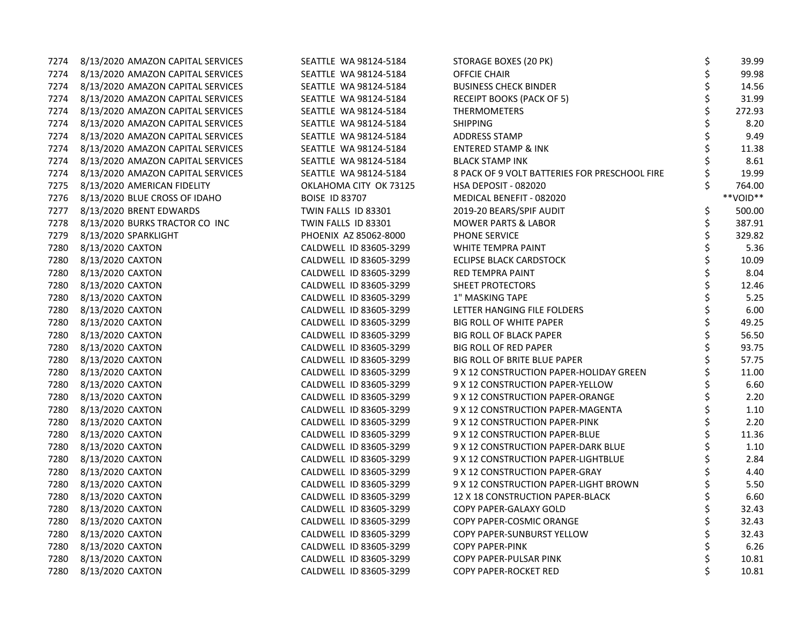| 7274 | 8/13/2020 AMAZON CAPITAL SERVICES | SEATTLE WA 98124-5184  | STORAGE BOXES (20 PK)                         | \$ | 39.99    |
|------|-----------------------------------|------------------------|-----------------------------------------------|----|----------|
| 7274 | 8/13/2020 AMAZON CAPITAL SERVICES | SEATTLE WA 98124-5184  | OFFCIE CHAIR                                  | \$ | 99.98    |
| 7274 | 8/13/2020 AMAZON CAPITAL SERVICES | SEATTLE WA 98124-5184  | <b>BUSINESS CHECK BINDER</b>                  | \$ | 14.56    |
| 7274 | 8/13/2020 AMAZON CAPITAL SERVICES | SEATTLE WA 98124-5184  | RECEIPT BOOKS (PACK OF 5)                     | \$ | 31.99    |
| 7274 | 8/13/2020 AMAZON CAPITAL SERVICES | SEATTLE WA 98124-5184  | <b>THERMOMETERS</b>                           | \$ | 272.93   |
| 7274 | 8/13/2020 AMAZON CAPITAL SERVICES | SEATTLE WA 98124-5184  | <b>SHIPPING</b>                               | \$ | 8.20     |
| 7274 | 8/13/2020 AMAZON CAPITAL SERVICES | SEATTLE WA 98124-5184  | ADDRESS STAMP                                 | \$ | 9.49     |
| 7274 | 8/13/2020 AMAZON CAPITAL SERVICES | SEATTLE WA 98124-5184  | <b>ENTERED STAMP &amp; INK</b>                | \$ | 11.38    |
| 7274 | 8/13/2020 AMAZON CAPITAL SERVICES | SEATTLE WA 98124-5184  | <b>BLACK STAMP INK</b>                        | \$ | 8.61     |
| 7274 | 8/13/2020 AMAZON CAPITAL SERVICES | SEATTLE WA 98124-5184  | 8 PACK OF 9 VOLT BATTERIES FOR PRESCHOOL FIRE |    | 19.99    |
| 7275 | 8/13/2020 AMERICAN FIDELITY       | OKLAHOMA CITY OK 73125 | <b>HSA DEPOSIT - 082020</b>                   | Ś  | 764.00   |
| 7276 | 8/13/2020 BLUE CROSS OF IDAHO     | <b>BOISE ID 83707</b>  | MEDICAL BENEFIT - 082020                      |    | **VOID** |
| 7277 | 8/13/2020 BRENT EDWARDS           | TWIN FALLS ID 83301    | 2019-20 BEARS/SPIF AUDIT                      | \$ | 500.00   |
| 7278 | 8/13/2020 BURKS TRACTOR CO INC    | TWIN FALLS ID 83301    | <b>MOWER PARTS &amp; LABOR</b>                | \$ | 387.91   |
| 7279 | 8/13/2020 SPARKLIGHT              | PHOENIX AZ 85062-8000  | PHONE SERVICE                                 | \$ | 329.82   |
| 7280 | 8/13/2020 CAXTON                  | CALDWELL ID 83605-3299 | WHITE TEMPRA PAINT                            | \$ | 5.36     |
| 7280 | 8/13/2020 CAXTON                  | CALDWELL ID 83605-3299 | <b>ECLIPSE BLACK CARDSTOCK</b>                | \$ | 10.09    |
| 7280 | 8/13/2020 CAXTON                  | CALDWELL ID 83605-3299 | RED TEMPRA PAINT                              | \$ | 8.04     |
| 7280 | 8/13/2020 CAXTON                  | CALDWELL ID 83605-3299 | SHEET PROTECTORS                              | \$ | 12.46    |
| 7280 | 8/13/2020 CAXTON                  | CALDWELL ID 83605-3299 | 1" MASKING TAPE                               | \$ | 5.25     |
| 7280 | 8/13/2020 CAXTON                  | CALDWELL ID 83605-3299 | LETTER HANGING FILE FOLDERS                   | \$ | 6.00     |
| 7280 | 8/13/2020 CAXTON                  | CALDWELL ID 83605-3299 | <b>BIG ROLL OF WHITE PAPER</b>                | \$ | 49.25    |
| 7280 | 8/13/2020 CAXTON                  | CALDWELL ID 83605-3299 | <b>BIG ROLL OF BLACK PAPER</b>                | \$ | 56.50    |
| 7280 | 8/13/2020 CAXTON                  | CALDWELL ID 83605-3299 | <b>BIG ROLL OF RED PAPER</b>                  | \$ | 93.75    |
| 7280 | 8/13/2020 CAXTON                  | CALDWELL ID 83605-3299 | BIG ROLL OF BRITE BLUE PAPER                  | \$ | 57.75    |
| 7280 | 8/13/2020 CAXTON                  | CALDWELL ID 83605-3299 | 9 X 12 CONSTRUCTION PAPER-HOLIDAY GREEN       | \$ | 11.00    |
| 7280 | 8/13/2020 CAXTON                  | CALDWELL ID 83605-3299 | 9 X 12 CONSTRUCTION PAPER-YELLOW              | \$ | 6.60     |
| 7280 | 8/13/2020 CAXTON                  | CALDWELL ID 83605-3299 | 9 X 12 CONSTRUCTION PAPER-ORANGE              | \$ | 2.20     |
| 7280 | 8/13/2020 CAXTON                  | CALDWELL ID 83605-3299 | 9 X 12 CONSTRUCTION PAPER-MAGENTA             | \$ | 1.10     |
| 7280 | 8/13/2020 CAXTON                  | CALDWELL ID 83605-3299 | 9 X 12 CONSTRUCTION PAPER-PINK                | \$ | 2.20     |
| 7280 | 8/13/2020 CAXTON                  | CALDWELL ID 83605-3299 | 9 X 12 CONSTRUCTION PAPER-BLUE                | \$ | 11.36    |
| 7280 | 8/13/2020 CAXTON                  | CALDWELL ID 83605-3299 | 9 X 12 CONSTRUCTION PAPER-DARK BLUE           | \$ | 1.10     |
| 7280 | 8/13/2020 CAXTON                  | CALDWELL ID 83605-3299 | 9 X 12 CONSTRUCTION PAPER-LIGHTBLUE           | \$ | 2.84     |
| 7280 | 8/13/2020 CAXTON                  | CALDWELL ID 83605-3299 | 9 X 12 CONSTRUCTION PAPER-GRAY                | \$ | 4.40     |
| 7280 | 8/13/2020 CAXTON                  | CALDWELL ID 83605-3299 | 9 X 12 CONSTRUCTION PAPER-LIGHT BROWN         | \$ | 5.50     |
| 7280 | 8/13/2020 CAXTON                  | CALDWELL ID 83605-3299 | 12 X 18 CONSTRUCTION PAPER-BLACK              | \$ | 6.60     |
| 7280 | 8/13/2020 CAXTON                  | CALDWELL ID 83605-3299 | COPY PAPER-GALAXY GOLD                        | \$ | 32.43    |
| 7280 | 8/13/2020 CAXTON                  | CALDWELL ID 83605-3299 | COPY PAPER-COSMIC ORANGE                      | \$ | 32.43    |
| 7280 | 8/13/2020 CAXTON                  | CALDWELL ID 83605-3299 | COPY PAPER-SUNBURST YELLOW                    | \$ | 32.43    |
| 7280 | 8/13/2020 CAXTON                  | CALDWELL ID 83605-3299 | <b>COPY PAPER-PINK</b>                        | \$ | 6.26     |
| 7280 | 8/13/2020 CAXTON                  | CALDWELL ID 83605-3299 | COPY PAPER-PULSAR PINK                        | \$ | 10.81    |
| 7280 | 8/13/2020 CAXTON                  | CALDWELL ID 83605-3299 | COPY PAPER-ROCKET RED                         | \$ | 10.81    |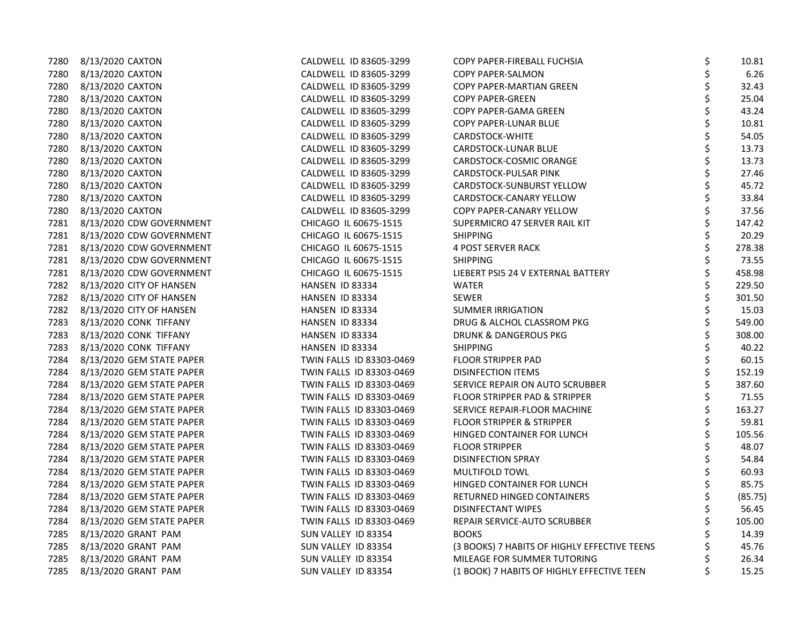| 7280 | 8/13/2020 CAXTON              | CALDWELL ID 83605-3299   | COPY PAPER-FIREBALL FUCHSIA                  | \$<br>10.81   |
|------|-------------------------------|--------------------------|----------------------------------------------|---------------|
| 7280 | 8/13/2020 CAXTON              | CALDWELL ID 83605-3299   | COPY PAPER-SALMON                            | \$<br>6.26    |
| 7280 | 8/13/2020 CAXTON              | CALDWELL ID 83605-3299   | COPY PAPER-MARTIAN GREEN                     | \$<br>32.43   |
| 7280 | 8/13/2020 CAXTON              | CALDWELL ID 83605-3299   | <b>COPY PAPER-GREEN</b>                      | \$<br>25.04   |
| 7280 | 8/13/2020 CAXTON              | CALDWELL ID 83605-3299   | COPY PAPER-GAMA GREEN                        | \$<br>43.24   |
| 7280 | 8/13/2020 CAXTON              | CALDWELL ID 83605-3299   | COPY PAPER-LUNAR BLUE                        | \$<br>10.81   |
| 7280 | 8/13/2020 CAXTON              | CALDWELL ID 83605-3299   | <b>CARDSTOCK-WHITE</b>                       | \$<br>54.05   |
| 7280 | 8/13/2020 CAXTON              | CALDWELL ID 83605-3299   | <b>CARDSTOCK-LUNAR BLUE</b>                  | \$<br>13.73   |
| 7280 | 8/13/2020 CAXTON              | CALDWELL ID 83605-3299   | CARDSTOCK-COSMIC ORANGE                      | \$<br>13.73   |
| 7280 | 8/13/2020 CAXTON              | CALDWELL ID 83605-3299   | CARDSTOCK-PULSAR PINK                        | \$<br>27.46   |
| 7280 | 8/13/2020 CAXTON              | CALDWELL ID 83605-3299   | CARDSTOCK-SUNBURST YELLOW                    | 45.72         |
| 7280 | 8/13/2020 CAXTON              | CALDWELL ID 83605-3299   | CARDSTOCK-CANARY YELLOW                      | \$<br>33.84   |
| 7280 | 8/13/2020 CAXTON              | CALDWELL ID 83605-3299   | COPY PAPER-CANARY YELLOW                     | \$<br>37.56   |
| 7281 | 8/13/2020 CDW GOVERNMENT      | CHICAGO IL 60675-1515    | SUPERMICRO 47 SERVER RAIL KIT                | \$<br>147.42  |
|      | 7281 8/13/2020 CDW GOVERNMENT | CHICAGO IL 60675-1515    | <b>SHIPPING</b>                              | 20.29         |
| 7281 | 8/13/2020 CDW GOVERNMENT      | CHICAGO IL 60675-1515    | <b>4 POST SERVER RACK</b>                    | \$<br>278.38  |
| 7281 | 8/13/2020 CDW GOVERNMENT      | CHICAGO IL 60675-1515    | <b>SHIPPING</b>                              | 73.55         |
| 7281 | 8/13/2020 CDW GOVERNMENT      | CHICAGO IL 60675-1515    | LIEBERT PSI5 24 V EXTERNAL BATTERY           | \$<br>458.98  |
|      | 7282 8/13/2020 CITY OF HANSEN | HANSEN ID 83334          | <b>WATER</b>                                 | \$<br>229.50  |
|      | 7282 8/13/2020 CITY OF HANSEN | HANSEN ID 83334          | <b>SEWER</b>                                 | 301.50        |
|      | 7282 8/13/2020 CITY OF HANSEN | HANSEN ID 83334          | <b>SUMMER IRRIGATION</b>                     | 15.03         |
| 7283 | 8/13/2020 CONK TIFFANY        | HANSEN ID 83334          | DRUG & ALCHOL CLASSROM PKG                   | \$<br>549.00  |
| 7283 | 8/13/2020 CONK TIFFANY        | HANSEN ID 83334          | DRUNK & DANGEROUS PKG                        | \$<br>308.00  |
| 7283 | 8/13/2020 CONK TIFFANY        | HANSEN ID 83334          | <b>SHIPPING</b>                              | 40.22         |
| 7284 | 8/13/2020 GEM STATE PAPER     | TWIN FALLS ID 83303-0469 | FLOOR STRIPPER PAD                           | 60.15         |
| 7284 | 8/13/2020 GEM STATE PAPER     | TWIN FALLS ID 83303-0469 | <b>DISINFECTION ITEMS</b>                    | 152.19        |
| 7284 | 8/13/2020 GEM STATE PAPER     | TWIN FALLS ID 83303-0469 | SERVICE REPAIR ON AUTO SCRUBBER              | \$<br>387.60  |
| 7284 | 8/13/2020 GEM STATE PAPER     | TWIN FALLS ID 83303-0469 | FLOOR STRIPPER PAD & STRIPPER                | \$<br>71.55   |
| 7284 | 8/13/2020 GEM STATE PAPER     | TWIN FALLS ID 83303-0469 | SERVICE REPAIR-FLOOR MACHINE                 | \$<br>163.27  |
| 7284 | 8/13/2020 GEM STATE PAPER     | TWIN FALLS ID 83303-0469 | FLOOR STRIPPER & STRIPPER                    | 59.81         |
| 7284 | 8/13/2020 GEM STATE PAPER     | TWIN FALLS ID 83303-0469 | HINGED CONTAINER FOR LUNCH                   | \$<br>105.56  |
| 7284 | 8/13/2020 GEM STATE PAPER     | TWIN FALLS ID 83303-0469 | <b>FLOOR STRIPPER</b>                        | \$<br>48.07   |
| 7284 | 8/13/2020 GEM STATE PAPER     | TWIN FALLS ID 83303-0469 | <b>DISINFECTION SPRAY</b>                    | \$<br>54.84   |
| 7284 | 8/13/2020 GEM STATE PAPER     | TWIN FALLS ID 83303-0469 | <b>MULTIFOLD TOWL</b>                        | 60.93         |
| 7284 | 8/13/2020 GEM STATE PAPER     | TWIN FALLS ID 83303-0469 | HINGED CONTAINER FOR LUNCH                   | \$<br>85.75   |
| 7284 | 8/13/2020 GEM STATE PAPER     | TWIN FALLS ID 83303-0469 | RETURNED HINGED CONTAINERS                   | \$<br>(85.75) |
| 7284 | 8/13/2020 GEM STATE PAPER     | TWIN FALLS ID 83303-0469 | <b>DISINFECTANT WIPES</b>                    | \$<br>56.45   |
| 7284 | 8/13/2020 GEM STATE PAPER     | TWIN FALLS ID 83303-0469 | REPAIR SERVICE-AUTO SCRUBBER                 | 105.00        |
| 7285 | 8/13/2020 GRANT PAM           | SUN VALLEY ID 83354      | <b>BOOKS</b>                                 | 14.39         |
| 7285 | 8/13/2020 GRANT PAM           | SUN VALLEY ID 83354      | (3 BOOKS) 7 HABITS OF HIGHLY EFFECTIVE TEENS | 45.76         |
| 7285 | 8/13/2020 GRANT PAM           | SUN VALLEY ID 83354      | MILEAGE FOR SUMMER TUTORING                  | 26.34         |
| 7285 | 8/13/2020 GRANT PAM           | SUN VALLEY ID 83354      | (1 BOOK) 7 HABITS OF HIGHLY EFFECTIVE TEEN   | \$<br>15.25   |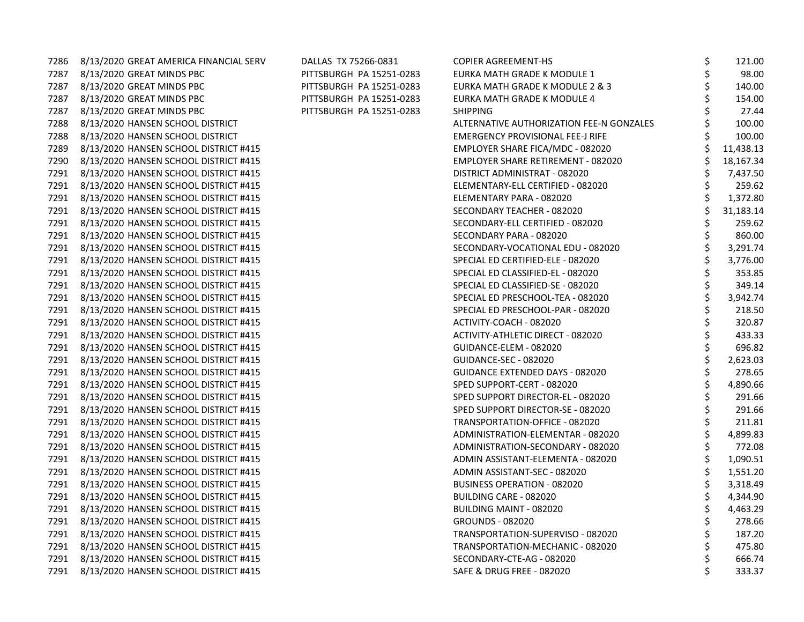| 7286 | 8/13/2020 GREAT AMERICA FINANCIAL SERV     | DALLAS TX 75266-0831     | <b>COPIER AGREEMENT-HS</b>               | \$<br>121.00   |
|------|--------------------------------------------|--------------------------|------------------------------------------|----------------|
| 7287 | 8/13/2020 GREAT MINDS PBC                  | PITTSBURGH PA 15251-0283 | EURKA MATH GRADE K MODULE 1              | 98.00          |
| 7287 | 8/13/2020 GREAT MINDS PBC                  | PITTSBURGH PA 15251-0283 | EURKA MATH GRADE K MODULE 2 & 3          | 140.00         |
| 7287 | 8/13/2020 GREAT MINDS PBC                  | PITTSBURGH PA 15251-0283 | EURKA MATH GRADE K MODULE 4              | 154.00         |
| 7287 | 8/13/2020 GREAT MINDS PBC                  | PITTSBURGH PA 15251-0283 | <b>SHIPPING</b>                          | 27.44          |
| 7288 | 8/13/2020 HANSEN SCHOOL DISTRICT           |                          | ALTERNATIVE AUTHORIZATION FEE-N GONZALES | 100.00         |
| 7288 | 8/13/2020 HANSEN SCHOOL DISTRICT           |                          | <b>EMERGENCY PROVISIONAL FEE-J RIFE</b>  | 100.00         |
| 7289 | 8/13/2020 HANSEN SCHOOL DISTRICT #415      |                          | EMPLOYER SHARE FICA/MDC - 082020         | 11,438.13      |
| 7290 | 8/13/2020 HANSEN SCHOOL DISTRICT #415      |                          | EMPLOYER SHARE RETIREMENT - 082020       | 18,167.34      |
| 7291 | 8/13/2020 HANSEN SCHOOL DISTRICT #415      |                          | DISTRICT ADMINISTRAT - 082020            | 7,437.50       |
| 7291 | 8/13/2020 HANSEN SCHOOL DISTRICT #415      |                          | ELEMENTARY-ELL CERTIFIED - 082020        | 259.62         |
| 7291 | 8/13/2020 HANSEN SCHOOL DISTRICT #415      |                          | ELEMENTARY PARA - 082020                 | \$<br>1,372.80 |
|      | 7291 8/13/2020 HANSEN SCHOOL DISTRICT #415 |                          | SECONDARY TEACHER - 082020               | 31,183.14      |
|      | 7291 8/13/2020 HANSEN SCHOOL DISTRICT #415 |                          | SECONDARY-ELL CERTIFIED - 082020         | 259.62         |
| 7291 | 8/13/2020 HANSEN SCHOOL DISTRICT #415      |                          | SECONDARY PARA - 082020                  | 860.00         |
| 7291 | 8/13/2020 HANSEN SCHOOL DISTRICT #415      |                          | SECONDARY-VOCATIONAL EDU - 082020        | 3,291.74       |
| 7291 | 8/13/2020 HANSEN SCHOOL DISTRICT #415      |                          | SPECIAL ED CERTIFIED-ELE - 082020        | \$<br>3,776.00 |
|      | 7291 8/13/2020 HANSEN SCHOOL DISTRICT #415 |                          | SPECIAL ED CLASSIFIED-EL - 082020        | 353.85         |
|      | 7291 8/13/2020 HANSEN SCHOOL DISTRICT #415 |                          | SPECIAL ED CLASSIFIED-SE - 082020        | 349.14         |
| 7291 | 8/13/2020 HANSEN SCHOOL DISTRICT #415      |                          | SPECIAL ED PRESCHOOL-TEA - 082020        | 3,942.74       |
| 7291 | 8/13/2020 HANSEN SCHOOL DISTRICT #415      |                          | SPECIAL ED PRESCHOOL-PAR - 082020        | 218.50         |
|      | 7291 8/13/2020 HANSEN SCHOOL DISTRICT #415 |                          | ACTIVITY-COACH - 082020                  | \$<br>320.87   |
|      | 7291 8/13/2020 HANSEN SCHOOL DISTRICT #415 |                          | ACTIVITY-ATHLETIC DIRECT - 082020        | 433.33         |
| 7291 | 8/13/2020 HANSEN SCHOOL DISTRICT #415      |                          | GUIDANCE-ELEM - 082020                   | 696.82         |
| 7291 | 8/13/2020 HANSEN SCHOOL DISTRICT #415      |                          | GUIDANCE-SEC - 082020                    | 2,623.03       |
| 7291 | 8/13/2020 HANSEN SCHOOL DISTRICT #415      |                          | GUIDANCE EXTENDED DAYS - 082020          | \$<br>278.65   |
|      | 7291 8/13/2020 HANSEN SCHOOL DISTRICT #415 |                          | SPED SUPPORT-CERT - 082020               | 4,890.66       |
|      | 7291 8/13/2020 HANSEN SCHOOL DISTRICT #415 |                          | SPED SUPPORT DIRECTOR-EL - 082020        | 291.66         |
| 7291 | 8/13/2020 HANSEN SCHOOL DISTRICT #415      |                          | SPED SUPPORT DIRECTOR-SE - 082020        | 291.66         |
| 7291 | 8/13/2020 HANSEN SCHOOL DISTRICT #415      |                          | TRANSPORTATION-OFFICE - 082020           | 211.81         |
| 7291 | 8/13/2020 HANSEN SCHOOL DISTRICT #415      |                          | ADMINISTRATION-ELEMENTAR - 082020        | 4,899.83       |
|      | 7291 8/13/2020 HANSEN SCHOOL DISTRICT #415 |                          | ADMINISTRATION-SECONDARY - 082020        | 772.08         |
| 7291 | 8/13/2020 HANSEN SCHOOL DISTRICT #415      |                          | ADMIN ASSISTANT-ELEMENTA - 082020        | 1,090.51       |
| 7291 | 8/13/2020 HANSEN SCHOOL DISTRICT #415      |                          | ADMIN ASSISTANT-SEC - 082020             | 1,551.20       |
| 7291 | 8/13/2020 HANSEN SCHOOL DISTRICT #415      |                          | <b>BUSINESS OPERATION - 082020</b>       | 3,318.49       |
|      | 7291 8/13/2020 HANSEN SCHOOL DISTRICT #415 |                          | BUILDING CARE - 082020                   | 4,344.90       |
|      | 7291 8/13/2020 HANSEN SCHOOL DISTRICT #415 |                          | BUILDING MAINT - 082020                  | 4,463.29       |
| 7291 | 8/13/2020 HANSEN SCHOOL DISTRICT #415      |                          | GROUNDS - 082020                         | 278.66         |
| 7291 | 8/13/2020 HANSEN SCHOOL DISTRICT #415      |                          | TRANSPORTATION-SUPERVISO - 082020        | 187.20         |
|      | 7291 8/13/2020 HANSEN SCHOOL DISTRICT #415 |                          | TRANSPORTATION-MECHANIC - 082020         | 475.80         |
|      | 7291 8/13/2020 HANSEN SCHOOL DISTRICT #415 |                          | SECONDARY-CTE-AG - 082020                | 666.74         |
|      | 7291 8/13/2020 HANSEN SCHOOL DISTRICT #415 |                          | <b>SAFE &amp; DRUG FREE - 082020</b>     | 333.37         |
|      |                                            |                          |                                          |                |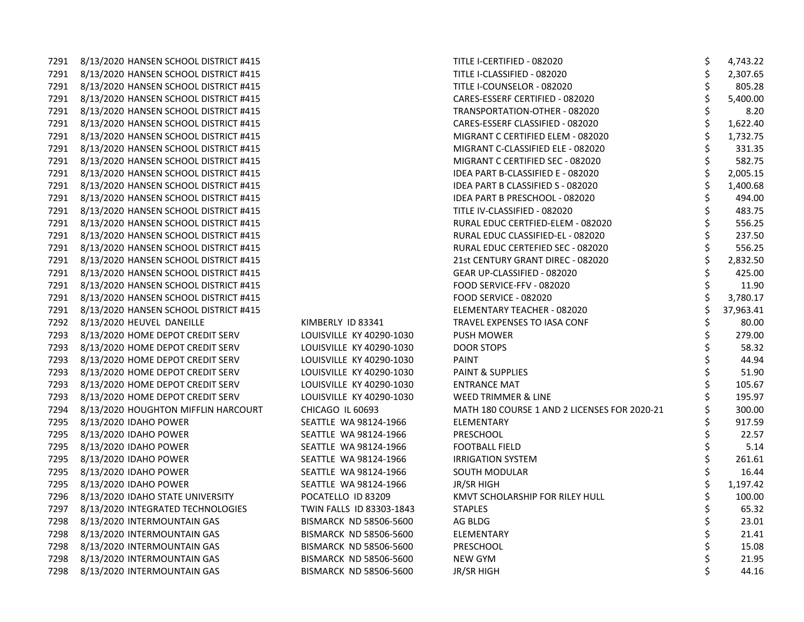|      | 7291 8/13/2020 HANSEN SCHOOL DISTRICT #415 |                               | TITLE I-CERTIFIED - 082020                   | \$ | 4,743.22  |
|------|--------------------------------------------|-------------------------------|----------------------------------------------|----|-----------|
|      | 7291 8/13/2020 HANSEN SCHOOL DISTRICT #415 |                               | TITLE I-CLASSIFIED - 082020                  | \$ | 2,307.65  |
|      | 7291 8/13/2020 HANSEN SCHOOL DISTRICT #415 |                               | TITLE I-COUNSELOR - 082020                   |    | 805.28    |
|      | 7291 8/13/2020 HANSEN SCHOOL DISTRICT #415 |                               | CARES-ESSERF CERTIFIED - 082020              | \$ | 5,400.00  |
|      | 7291 8/13/2020 HANSEN SCHOOL DISTRICT #415 |                               | TRANSPORTATION-OTHER - 082020                |    | 8.20      |
|      | 7291 8/13/2020 HANSEN SCHOOL DISTRICT #415 |                               | CARES-ESSERF CLASSIFIED - 082020             | \$ | 1,622.40  |
|      | 7291 8/13/2020 HANSEN SCHOOL DISTRICT #415 |                               | MIGRANT C CERTIFIED ELEM - 082020            |    | 1,732.75  |
|      | 7291 8/13/2020 HANSEN SCHOOL DISTRICT #415 |                               | MIGRANT C-CLASSIFIED ELE - 082020            | \$ | 331.35    |
|      | 7291 8/13/2020 HANSEN SCHOOL DISTRICT #415 |                               | MIGRANT C CERTIFIED SEC - 082020             | \$ | 582.75    |
|      | 7291 8/13/2020 HANSEN SCHOOL DISTRICT #415 |                               | IDEA PART B-CLASSIFIED E - 082020            |    | 2,005.15  |
|      | 7291 8/13/2020 HANSEN SCHOOL DISTRICT #415 |                               | IDEA PART B CLASSIFIED S - 082020            |    | 1,400.68  |
|      | 7291 8/13/2020 HANSEN SCHOOL DISTRICT #415 |                               | IDEA PART B PRESCHOOL - 082020               |    | 494.00    |
|      | 7291 8/13/2020 HANSEN SCHOOL DISTRICT #415 |                               | TITLE IV-CLASSIFIED - 082020                 | \$ | 483.75    |
|      | 7291 8/13/2020 HANSEN SCHOOL DISTRICT #415 |                               | RURAL EDUC CERTFIED-ELEM - 082020            | \$ | 556.25    |
|      | 7291 8/13/2020 HANSEN SCHOOL DISTRICT #415 |                               | RURAL EDUC CLASSIFIED-EL - 082020            | \$ | 237.50    |
|      | 7291 8/13/2020 HANSEN SCHOOL DISTRICT #415 |                               | RURAL EDUC CERTEFIED SEC - 082020            | \$ | 556.25    |
|      | 7291 8/13/2020 HANSEN SCHOOL DISTRICT #415 |                               | 21st CENTURY GRANT DIREC - 082020            |    | 2,832.50  |
| 7291 | 8/13/2020 HANSEN SCHOOL DISTRICT #415      |                               | GEAR UP-CLASSIFIED - 082020                  | \$ | 425.00    |
|      | 7291 8/13/2020 HANSEN SCHOOL DISTRICT #415 |                               | FOOD SERVICE-FFV - 082020                    |    | 11.90     |
|      | 7291 8/13/2020 HANSEN SCHOOL DISTRICT #415 |                               | FOOD SERVICE - 082020                        |    | 3,780.17  |
|      | 7291 8/13/2020 HANSEN SCHOOL DISTRICT #415 |                               | ELEMENTARY TEACHER - 082020                  |    | 37,963.41 |
|      | 7292 8/13/2020 HEUVEL DANEILLE             | KIMBERLY ID 83341             | TRAVEL EXPENSES TO IASA CONF                 |    | 80.00     |
| 7293 | 8/13/2020 HOME DEPOT CREDIT SERV           | LOUISVILLE KY 40290-1030      | <b>PUSH MOWER</b>                            | \$ | 279.00    |
|      | 7293 8/13/2020 HOME DEPOT CREDIT SERV      | LOUISVILLE KY 40290-1030      | DOOR STOPS                                   |    | 58.32     |
|      | 7293 8/13/2020 HOME DEPOT CREDIT SERV      | LOUISVILLE KY 40290-1030      | PAINT                                        |    | 44.94     |
| 7293 | 8/13/2020 HOME DEPOT CREDIT SERV           | LOUISVILLE KY 40290-1030      | PAINT & SUPPLIES                             |    | 51.90     |
| 7293 | 8/13/2020 HOME DEPOT CREDIT SERV           | LOUISVILLE KY 40290-1030      | <b>ENTRANCE MAT</b>                          | \$ | 105.67    |
| 7293 | 8/13/2020 HOME DEPOT CREDIT SERV           | LOUISVILLE KY 40290-1030      | WEED TRIMMER & LINE                          |    | 195.97    |
|      | 7294 8/13/2020 HOUGHTON MIFFLIN HARCOURT   | CHICAGO IL 60693              | MATH 180 COURSE 1 AND 2 LICENSES FOR 2020-21 |    | 300.00    |
| 7295 | 8/13/2020 IDAHO POWER                      | SEATTLE WA 98124-1966         | ELEMENTARY                                   |    | 917.59    |
| 7295 | 8/13/2020 IDAHO POWER                      | SEATTLE WA 98124-1966         | PRESCHOOL                                    |    | 22.57     |
| 7295 | 8/13/2020 IDAHO POWER                      | SEATTLE WA 98124-1966         | <b>FOOTBALL FIELD</b>                        |    | 5.14      |
| 7295 | 8/13/2020 IDAHO POWER                      | SEATTLE WA 98124-1966         | <b>IRRIGATION SYSTEM</b>                     | \$ | 261.61    |
| 7295 | 8/13/2020 IDAHO POWER                      | SEATTLE WA 98124-1966         | SOUTH MODULAR                                |    | 16.44     |
| 7295 | 8/13/2020 IDAHO POWER                      | SEATTLE WA 98124-1966         | JR/SR HIGH                                   |    | 1,197.42  |
| 7296 | 8/13/2020 IDAHO STATE UNIVERSITY           | POCATELLO ID 83209            | KMVT SCHOLARSHIP FOR RILEY HULL              |    | 100.00    |
| 7297 | 8/13/2020 INTEGRATED TECHNOLOGIES          | TWIN FALLS ID 83303-1843      | <b>STAPLES</b>                               |    | 65.32     |
| 7298 | 8/13/2020 INTERMOUNTAIN GAS                | BISMARCK ND 58506-5600        | AG BLDG                                      |    | 23.01     |
|      | 7298 8/13/2020 INTERMOUNTAIN GAS           | <b>BISMARCK ND 58506-5600</b> | ELEMENTARY                                   |    | 21.41     |
| 7298 | 8/13/2020 INTERMOUNTAIN GAS                | <b>BISMARCK ND 58506-5600</b> | PRESCHOOL                                    |    | 15.08     |
|      | 7298 8/13/2020 INTERMOUNTAIN GAS           | <b>BISMARCK ND 58506-5600</b> | <b>NEW GYM</b>                               |    | 21.95     |
| 7298 | 8/13/2020 INTERMOUNTAIN GAS                | <b>BISMARCK ND 58506-5600</b> | JR/SR HIGH                                   | Ś  | 44.16     |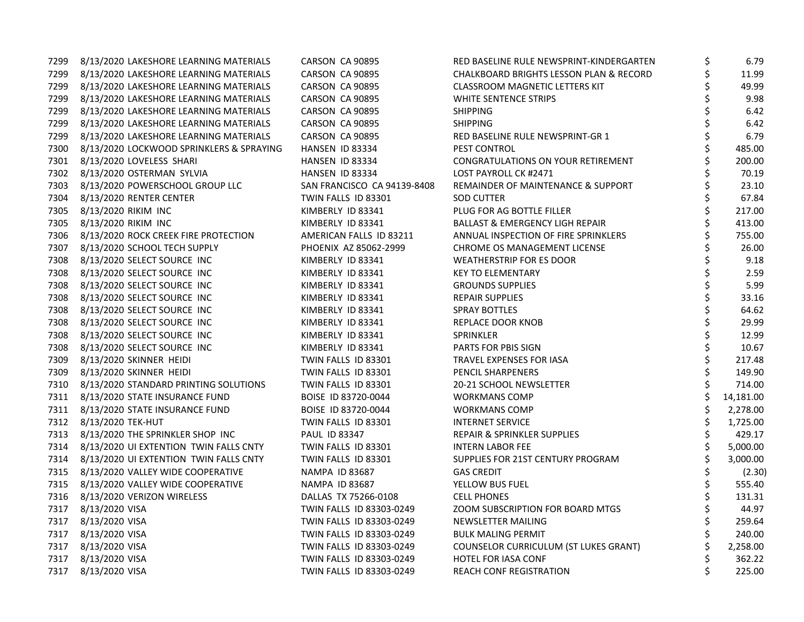| 7299 | 8/13/2020 LAKESHORE LEARNING MATERIALS   | CARSON CA 90895             | RED BASELINE RULE NEWSPRINT-KINDERGARTEN   | \$<br>6.79      |
|------|------------------------------------------|-----------------------------|--------------------------------------------|-----------------|
| 7299 | 8/13/2020 LAKESHORE LEARNING MATERIALS   | CARSON CA 90895             | CHALKBOARD BRIGHTS LESSON PLAN & RECORD    | \$<br>11.99     |
| 7299 | 8/13/2020 LAKESHORE LEARNING MATERIALS   | CARSON CA 90895             | <b>CLASSROOM MAGNETIC LETTERS KIT</b>      | \$<br>49.99     |
| 7299 | 8/13/2020 LAKESHORE LEARNING MATERIALS   | CARSON CA 90895             | WHITE SENTENCE STRIPS                      | \$<br>9.98      |
| 7299 | 8/13/2020 LAKESHORE LEARNING MATERIALS   | CARSON CA 90895             | <b>SHIPPING</b>                            | \$<br>6.42      |
| 7299 | 8/13/2020 LAKESHORE LEARNING MATERIALS   | CARSON CA 90895             | <b>SHIPPING</b>                            | \$<br>6.42      |
| 7299 | 8/13/2020 LAKESHORE LEARNING MATERIALS   | CARSON CA 90895             | RED BASELINE RULE NEWSPRINT-GR 1           | \$<br>6.79      |
| 7300 | 8/13/2020 LOCKWOOD SPRINKLERS & SPRAYING | HANSEN ID 83334             | <b>PEST CONTROL</b>                        | \$<br>485.00    |
| 7301 | 8/13/2020 LOVELESS SHARI                 | HANSEN ID 83334             | CONGRATULATIONS ON YOUR RETIREMENT         | \$<br>200.00    |
|      | 7302 8/13/2020 OSTERMAN SYLVIA           | HANSEN ID 83334             | LOST PAYROLL CK #2471                      | 70.19           |
| 7303 | 8/13/2020 POWERSCHOOL GROUP LLC          | SAN FRANCISCO CA 94139-8408 | REMAINDER OF MAINTENANCE & SUPPORT         | \$<br>23.10     |
| 7304 | 8/13/2020 RENTER CENTER                  | TWIN FALLS ID 83301         | <b>SOD CUTTER</b>                          | \$<br>67.84     |
| 7305 | 8/13/2020 RIKIM INC                      | KIMBERLY ID 83341           | PLUG FOR AG BOTTLE FILLER                  | \$<br>217.00    |
| 7305 | 8/13/2020 RIKIM INC                      | KIMBERLY ID 83341           | <b>BALLAST &amp; EMERGENCY LIGH REPAIR</b> | \$<br>413.00    |
| 7306 | 8/13/2020 ROCK CREEK FIRE PROTECTION     | AMERICAN FALLS ID 83211     | ANNUAL INSPECTION OF FIRE SPRINKLERS       | 755.00          |
| 7307 | 8/13/2020 SCHOOL TECH SUPPLY             | PHOENIX AZ 85062-2999       | CHROME OS MANAGEMENT LICENSE               | 26.00           |
| 7308 | 8/13/2020 SELECT SOURCE INC              | KIMBERLY ID 83341           | <b>WEATHERSTRIP FOR ES DOOR</b>            | 9.18            |
| 7308 | 8/13/2020 SELECT SOURCE INC              | KIMBERLY ID 83341           | <b>KEY TO ELEMENTARY</b>                   | \$<br>2.59      |
| 7308 | 8/13/2020 SELECT SOURCE INC              | KIMBERLY ID 83341           | <b>GROUNDS SUPPLIES</b>                    | \$<br>5.99      |
| 7308 | 8/13/2020 SELECT SOURCE INC              | KIMBERLY ID 83341           | <b>REPAIR SUPPLIES</b>                     | \$<br>33.16     |
| 7308 | 8/13/2020 SELECT SOURCE INC              | KIMBERLY ID 83341           | <b>SPRAY BOTTLES</b>                       | \$<br>64.62     |
| 7308 | 8/13/2020 SELECT SOURCE INC              | KIMBERLY ID 83341           | REPLACE DOOR KNOB                          | \$<br>29.99     |
| 7308 | 8/13/2020 SELECT SOURCE INC              | KIMBERLY ID 83341           | SPRINKLER                                  | \$<br>12.99     |
| 7308 | 8/13/2020 SELECT SOURCE INC              | KIMBERLY ID 83341           | PARTS FOR PBIS SIGN                        | \$<br>10.67     |
| 7309 | 8/13/2020 SKINNER HEIDI                  | TWIN FALLS ID 83301         | TRAVEL EXPENSES FOR IASA                   | \$<br>217.48    |
| 7309 | 8/13/2020 SKINNER HEIDI                  | TWIN FALLS ID 83301         | PENCIL SHARPENERS                          | \$<br>149.90    |
| 7310 | 8/13/2020 STANDARD PRINTING SOLUTIONS    | TWIN FALLS ID 83301         | 20-21 SCHOOL NEWSLETTER                    | \$<br>714.00    |
|      | 7311 8/13/2020 STATE INSURANCE FUND      | BOISE ID 83720-0044         | <b>WORKMANS COMP</b>                       | \$<br>14,181.00 |
|      | 7311 8/13/2020 STATE INSURANCE FUND      | BOISE ID 83720-0044         | <b>WORKMANS COMP</b>                       | 2,278.00        |
|      | 7312 8/13/2020 TEK-HUT                   | TWIN FALLS ID 83301         | <b>INTERNET SERVICE</b>                    | \$<br>1,725.00  |
| 7313 | 8/13/2020 THE SPRINKLER SHOP INC         | PAUL ID 83347               | <b>REPAIR &amp; SPRINKLER SUPPLIES</b>     | \$<br>429.17    |
| 7314 | 8/13/2020 UI EXTENTION TWIN FALLS CNTY   | TWIN FALLS ID 83301         | <b>INTERN LABOR FEE</b>                    | \$<br>5,000.00  |
| 7314 | 8/13/2020 UI EXTENTION TWIN FALLS CNTY   | TWIN FALLS ID 83301         | SUPPLIES FOR 21ST CENTURY PROGRAM          | \$<br>3,000.00  |
|      | 7315 8/13/2020 VALLEY WIDE COOPERATIVE   | <b>NAMPA ID 83687</b>       | <b>GAS CREDIT</b>                          | (2.30)          |
| 7315 | 8/13/2020 VALLEY WIDE COOPERATIVE        | NAMPA ID 83687              | YELLOW BUS FUEL                            | \$<br>555.40    |
| 7316 | 8/13/2020 VERIZON WIRELESS               | DALLAS TX 75266-0108        | <b>CELL PHONES</b>                         | \$<br>131.31    |
| 7317 | 8/13/2020 VISA                           | TWIN FALLS ID 83303-0249    | ZOOM SUBSCRIPTION FOR BOARD MTGS           | \$<br>44.97     |
|      | 7317 8/13/2020 VISA                      | TWIN FALLS ID 83303-0249    | NEWSLETTER MAILING                         | 259.64          |
|      | 7317 8/13/2020 VISA                      | TWIN FALLS ID 83303-0249    | <b>BULK MALING PERMIT</b>                  | 240.00          |
|      | 7317 8/13/2020 VISA                      | TWIN FALLS ID 83303-0249    | COUNSELOR CURRICULUM (ST LUKES GRANT)      | 2,258.00        |
|      | 7317 8/13/2020 VISA                      | TWIN FALLS ID 83303-0249    | HOTEL FOR IASA CONF                        | \$<br>362.22    |
|      | 7317 8/13/2020 VISA                      | TWIN FALLS ID 83303-0249    | <b>REACH CONF REGISTRATION</b>             | \$<br>225.00    |